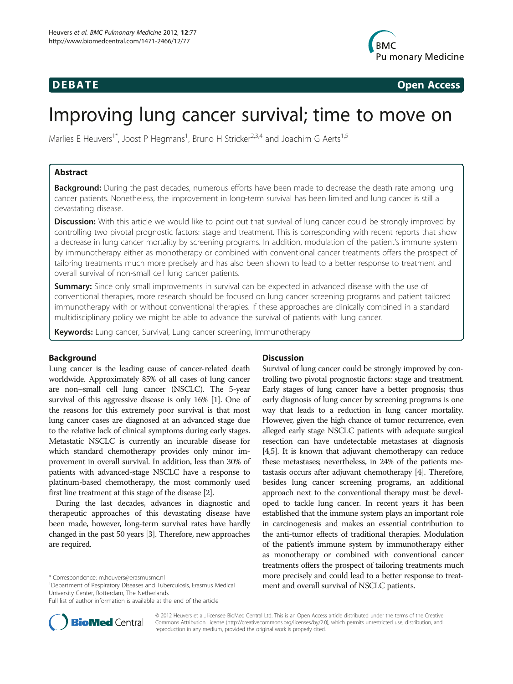

**DEBATE CONSIDERENT CONSIDERED ACCESS** 

# Improving lung cancer survival; time to move on

Marlies E Heuvers<sup>1\*</sup>, Joost P Hegmans<sup>1</sup>, Bruno H Stricker<sup>2,3,4</sup> and Joachim G Aerts<sup>1,5</sup>

# Abstract

Background: During the past decades, numerous efforts have been made to decrease the death rate among lung cancer patients. Nonetheless, the improvement in long-term survival has been limited and lung cancer is still a devastating disease.

Discussion: With this article we would like to point out that survival of lung cancer could be strongly improved by controlling two pivotal prognostic factors: stage and treatment. This is corresponding with recent reports that show a decrease in lung cancer mortality by screening programs. In addition, modulation of the patient's immune system by immunotherapy either as monotherapy or combined with conventional cancer treatments offers the prospect of tailoring treatments much more precisely and has also been shown to lead to a better response to treatment and overall survival of non-small cell lung cancer patients.

**Summary:** Since only small improvements in survival can be expected in advanced disease with the use of conventional therapies, more research should be focused on lung cancer screening programs and patient tailored immunotherapy with or without conventional therapies. If these approaches are clinically combined in a standard multidisciplinary policy we might be able to advance the survival of patients with lung cancer.

Keywords: Lung cancer, Survival, Lung cancer screening, Immunotherapy

# Background

Lung cancer is the leading cause of cancer-related death worldwide. Approximately 85% of all cases of lung cancer are non–small cell lung cancer (NSCLC). The 5-year survival of this aggressive disease is only 16% [\[1\]](#page-3-0). One of the reasons for this extremely poor survival is that most lung cancer cases are diagnosed at an advanced stage due to the relative lack of clinical symptoms during early stages. Metastatic NSCLC is currently an incurable disease for which standard chemotherapy provides only minor improvement in overall survival. In addition, less than 30% of patients with advanced-stage NSCLC have a response to platinum-based chemotherapy, the most commonly used first line treatment at this stage of the disease [\[2\]](#page-3-0).

During the last decades, advances in diagnostic and therapeutic approaches of this devastating disease have been made, however, long-term survival rates have hardly changed in the past 50 years [\[3](#page-3-0)]. Therefore, new approaches are required.

<sup>1</sup> Department of Respiratory Diseases and Tuberculosis, Erasmus Medical University Center, Rotterdam, The Netherlands

# **Discussion**

Survival of lung cancer could be strongly improved by controlling two pivotal prognostic factors: stage and treatment. Early stages of lung cancer have a better prognosis; thus early diagnosis of lung cancer by screening programs is one way that leads to a reduction in lung cancer mortality. However, given the high chance of tumor recurrence, even alleged early stage NSCLC patients with adequate surgical resection can have undetectable metastases at diagnosis [[4,5](#page-3-0)]. It is known that adjuvant chemotherapy can reduce these metastases; nevertheless, in 24% of the patients metastasis occurs after adjuvant chemotherapy [[4](#page-3-0)]. Therefore, besides lung cancer screening programs, an additional approach next to the conventional therapy must be developed to tackle lung cancer. In recent years it has been established that the immune system plays an important role in carcinogenesis and makes an essential contribution to the anti-tumor effects of traditional therapies. Modulation of the patient's immune system by immunotherapy either as monotherapy or combined with conventional cancer treatments offers the prospect of tailoring treatments much more precisely and could lead to a better response to treatment and overall survival of NSCLC patients.



© 2012 Heuvers et al.; licensee BioMed Central Ltd. This is an Open Access article distributed under the terms of the Creative Commons Attribution License [\(http://creativecommons.org/licenses/by/2.0\)](http://creativecommons.org/licenses/by/2.0), which permits unrestricted use, distribution, and reproduction in any medium, provided the original work is properly cited.

<sup>\*</sup> Correspondence: [m.heuvers@erasmusmc.nl](mailto:m.heuvers@erasmusmc.nl) <sup>1</sup>

Full list of author information is available at the end of the article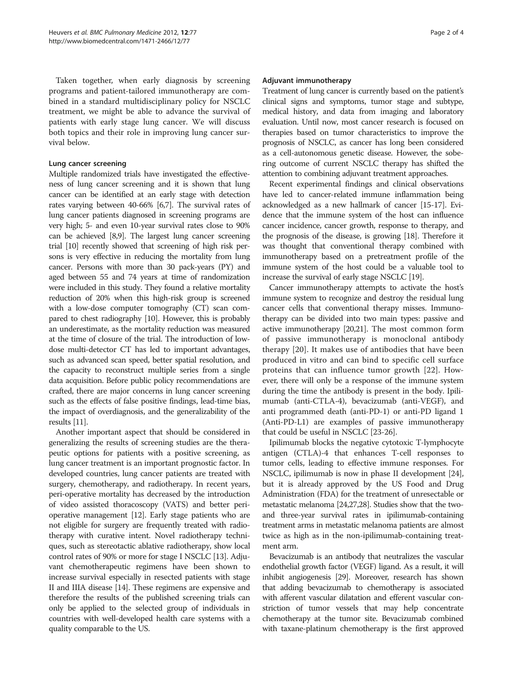Taken together, when early diagnosis by screening programs and patient-tailored immunotherapy are combined in a standard multidisciplinary policy for NSCLC treatment, we might be able to advance the survival of patients with early stage lung cancer. We will discuss both topics and their role in improving lung cancer survival below.

# Lung cancer screening

Multiple randomized trials have investigated the effectiveness of lung cancer screening and it is shown that lung cancer can be identified at an early stage with detection rates varying between 40-66% [\[6,7](#page-3-0)]. The survival rates of lung cancer patients diagnosed in screening programs are very high; 5- and even 10-year survival rates close to 90% can be achieved [\[8,9\]](#page-3-0). The largest lung cancer screening trial [\[10](#page-3-0)] recently showed that screening of high risk persons is very effective in reducing the mortality from lung cancer. Persons with more than 30 pack-years (PY) and aged between 55 and 74 years at time of randomization were included in this study. They found a relative mortality reduction of 20% when this high-risk group is screened with a low-dose computer tomography (CT) scan compared to chest radiography [[10](#page-3-0)]. However, this is probably an underestimate, as the mortality reduction was measured at the time of closure of the trial. The introduction of lowdose multi-detector CT has led to important advantages, such as advanced scan speed, better spatial resolution, and the capacity to reconstruct multiple series from a single data acquisition. Before public policy recommendations are crafted, there are major concerns in lung cancer screening such as the effects of false positive findings, lead-time bias, the impact of overdiagnosis, and the generalizability of the results [[11](#page-3-0)].

Another important aspect that should be considered in generalizing the results of screening studies are the therapeutic options for patients with a positive screening, as lung cancer treatment is an important prognostic factor. In developed countries, lung cancer patients are treated with surgery, chemotherapy, and radiotherapy. In recent years, peri-operative mortality has decreased by the introduction of video assisted thoracoscopy (VATS) and better perioperative management [\[12\]](#page-3-0). Early stage patients who are not eligible for surgery are frequently treated with radiotherapy with curative intent. Novel radiotherapy techniques, such as stereotactic ablative radiotherapy, show local control rates of 90% or more for stage I NSCLC [[13](#page-3-0)]. Adjuvant chemotherapeutic regimens have been shown to increase survival especially in resected patients with stage II and IIIA disease [\[14\]](#page-3-0). These regimens are expensive and therefore the results of the published screening trials can only be applied to the selected group of individuals in countries with well-developed health care systems with a quality comparable to the US.

### Adjuvant immunotherapy

Treatment of lung cancer is currently based on the patient's clinical signs and symptoms, tumor stage and subtype, medical history, and data from imaging and laboratory evaluation. Until now, most cancer research is focused on therapies based on tumor characteristics to improve the prognosis of NSCLC, as cancer has long been considered as a cell-autonomous genetic disease. However, the sobering outcome of current NSCLC therapy has shifted the attention to combining adjuvant treatment approaches.

Recent experimental findings and clinical observations have led to cancer-related immune inflammation being acknowledged as a new hallmark of cancer [\[15-17\]](#page-3-0). Evidence that the immune system of the host can influence cancer incidence, cancer growth, response to therapy, and the prognosis of the disease, is growing [\[18\]](#page-3-0). Therefore it was thought that conventional therapy combined with immunotherapy based on a pretreatment profile of the immune system of the host could be a valuable tool to increase the survival of early stage NSCLC [[19](#page-3-0)].

Cancer immunotherapy attempts to activate the host's immune system to recognize and destroy the residual lung cancer cells that conventional therapy misses. Immunotherapy can be divided into two main types: passive and active immunotherapy [[20,21\]](#page-3-0). The most common form of passive immunotherapy is monoclonal antibody therapy [[20\]](#page-3-0). It makes use of antibodies that have been produced in vitro and can bind to specific cell surface proteins that can influence tumor growth [\[22\]](#page-3-0). However, there will only be a response of the immune system during the time the antibody is present in the body. Ipilimumab (anti-CTLA-4), bevacizumab (anti-VEGF), and anti programmed death (anti-PD-1) or anti-PD ligand 1 (Anti-PD-L1) are examples of passive immunotherapy that could be useful in NSCLC [\[23-26](#page-3-0)].

Ipilimumab blocks the negative cytotoxic T-lymphocyte antigen (CTLA)-4 that enhances T-cell responses to tumor cells, leading to effective immune responses. For NSCLC, ipilimumab is now in phase II development [[24](#page-3-0)], but it is already approved by the US Food and Drug Administration (FDA) for the treatment of unresectable or metastatic melanoma [\[24,27,28](#page-3-0)]. Studies show that the twoand three-year survival rates in ipilimumab-containing treatment arms in metastatic melanoma patients are almost twice as high as in the non-ipilimumab-containing treatment arm.

Bevacizumab is an antibody that neutralizes the vascular endothelial growth factor (VEGF) ligand. As a result, it will inhibit angiogenesis [\[29\]](#page-3-0). Moreover, research has shown that adding bevacizumab to chemotherapy is associated with afferent vascular dilatation and efferent vascular constriction of tumor vessels that may help concentrate chemotherapy at the tumor site. Bevacizumab combined with taxane-platinum chemotherapy is the first approved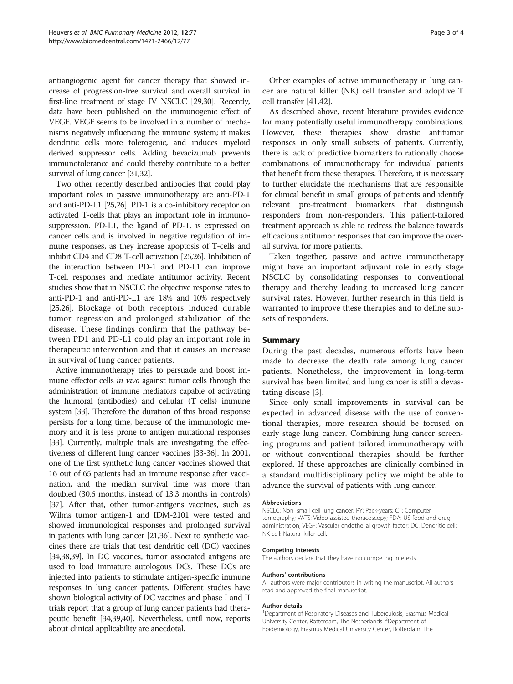antiangiogenic agent for cancer therapy that showed increase of progression-free survival and overall survival in first-line treatment of stage IV NSCLC [[29,30\]](#page-3-0). Recently, data have been published on the immunogenic effect of VEGF. VEGF seems to be involved in a number of mechanisms negatively influencing the immune system; it makes dendritic cells more tolerogenic, and induces myeloid derived suppressor cells. Adding bevacizumab prevents immunotolerance and could thereby contribute to a better survival of lung cancer [[31,32\]](#page-3-0).

Two other recently described antibodies that could play important roles in passive immunotherapy are anti-PD-1 and anti-PD-L1 [[25,26\]](#page-3-0). PD-1 is a co-inhibitory receptor on activated T-cells that plays an important role in immunosuppression. PD-L1, the ligand of PD-1, is expressed on cancer cells and is involved in negative regulation of immune responses, as they increase apoptosis of T-cells and inhibit CD4 and CD8 T-cell activation [[25,26\]](#page-3-0). Inhibition of the interaction between PD-1 and PD-L1 can improve T-cell responses and mediate antitumor activity. Recent studies show that in NSCLC the objective response rates to anti-PD-1 and anti-PD-L1 are 18% and 10% respectively [[25,26\]](#page-3-0). Blockage of both receptors induced durable tumor regression and prolonged stabilization of the disease. These findings confirm that the pathway between PD1 and PD-L1 could play an important role in therapeutic intervention and that it causes an increase in survival of lung cancer patients.

Active immunotherapy tries to persuade and boost immune effector cells *in vivo* against tumor cells through the administration of immune mediators capable of activating the humoral (antibodies) and cellular (T cells) immune system [[33](#page-3-0)]. Therefore the duration of this broad response persists for a long time, because of the immunologic memory and it is less prone to antigen mutational responses [[33](#page-3-0)]. Currently, multiple trials are investigating the effectiveness of different lung cancer vaccines [\[33-36](#page-3-0)]. In 2001, one of the first synthetic lung cancer vaccines showed that 16 out of 65 patients had an immune response after vaccination, and the median survival time was more than doubled (30.6 months, instead of 13.3 months in controls) [[37](#page-3-0)]. After that, other tumor-antigens vaccines, such as Wilms tumor antigen-1 and IDM-2101 were tested and showed immunological responses and prolonged survival in patients with lung cancer [[21,36\]](#page-3-0). Next to synthetic vaccines there are trials that test dendritic cell (DC) vaccines [[34,38,39\]](#page-3-0). In DC vaccines, tumor associated antigens are used to load immature autologous DCs. These DCs are injected into patients to stimulate antigen-specific immune responses in lung cancer patients. Different studies have shown biological activity of DC vaccines and phase I and II trials report that a group of lung cancer patients had therapeutic benefit [\[34,39,40](#page-3-0)]. Nevertheless, until now, reports about clinical applicability are anecdotal.

Other examples of active immunotherapy in lung cancer are natural killer (NK) cell transfer and adoptive T cell transfer [\[41,42\]](#page-3-0).

As described above, recent literature provides evidence for many potentially useful immunotherapy combinations. However, these therapies show drastic antitumor responses in only small subsets of patients. Currently, there is lack of predictive biomarkers to rationally choose combinations of immunotherapy for individual patients that benefit from these therapies. Therefore, it is necessary to further elucidate the mechanisms that are responsible for clinical benefit in small groups of patients and identify relevant pre-treatment biomarkers that distinguish responders from non-responders. This patient-tailored treatment approach is able to redress the balance towards efficacious antitumor responses that can improve the overall survival for more patients.

Taken together, passive and active immunotherapy might have an important adjuvant role in early stage NSCLC by consolidating responses to conventional therapy and thereby leading to increased lung cancer survival rates. However, further research in this field is warranted to improve these therapies and to define subsets of responders.

# Summary

During the past decades, numerous efforts have been made to decrease the death rate among lung cancer patients. Nonetheless, the improvement in long-term survival has been limited and lung cancer is still a devastating disease [[3\]](#page-3-0).

Since only small improvements in survival can be expected in advanced disease with the use of conventional therapies, more research should be focused on early stage lung cancer. Combining lung cancer screening programs and patient tailored immunotherapy with or without conventional therapies should be further explored. If these approaches are clinically combined in a standard multidisciplinary policy we might be able to advance the survival of patients with lung cancer.

#### Abbreviations

NSCLC: Non–small cell lung cancer; PY: Pack-years; CT: Computer tomography; VATS: Video assisted thoracoscopy; FDA: US food and drug administration; VEGF: Vascular endothelial growth factor; DC: Dendritic cell; NK cell: Natural killer cell.

### Competing interests

The authors declare that they have no competing interests.

#### Authors' contributions

All authors were major contributors in writing the manuscript. All authors read and approved the final manuscript.

#### Author details

<sup>1</sup>Department of Respiratory Diseases and Tuberculosis, Erasmus Medical University Center, Rotterdam, The Netherlands. <sup>2</sup>Department of Epidemiology, Erasmus Medical University Center, Rotterdam, The